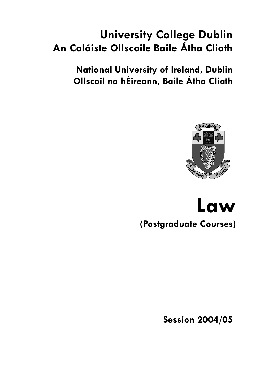# **University College Dublin An Coláiste Ollscoile Baile Átha Cliath**

**National University of Ireland, Dublin Ollscoil na hÉireann, Baile Átha Cliath** 



# **Law (Postgraduate Courses)**

**Session 2004/05**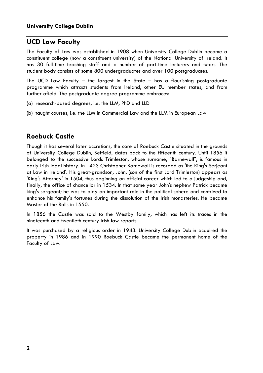## **UCD Law Faculty**

The Faculty of Law was established in 1908 when University College Dublin became a constituent college (now a constituent university) of the National University of Ireland. It has 30 full-time teaching staff and a number of part-time lecturers and tutors. The student body consists of some 800 undergraduates and over 100 postgraduates.

The UCD Law Faculty – the largest in the State – has a flourishing postgraduate programme which attracts students from Ireland, other EU member states, and from further afield. The postgraduate degree programme embraces:

- (a) research-based degrees, i.e. the LLM, PhD and LLD
- (b) taught courses, i.e. the LLM in Commercial Law and the LLM in European Law

## **Roebuck Castle**

Though it has several later accretions, the core of Roebuck Castle situated in the grounds of University College Dublin, Belfield, dates back to the fifteenth century. Until 1856 it belonged to the successive Lords Trimleston, whose surname, "Barnewall", is famous in early Irish legal history. In 1423 Christopher Barnewall is recorded as 'the King's Serjeant at Law in Ireland'. His great-grandson, John, (son of the first Lord Trimleston) appears as 'King's Attorney' in 1504, thus beginning an official career which led to a judgeship and, finally, the office of chancellor in 1534. In that same year John's nephew Patrick became king's sergeant; he was to play an important role in the political sphere and contrived to enhance his family's fortunes during the dissolution of the Irish monasteries. He became Master of the Rolls in 1550.

In 1856 the Castle was sold to the Westby family, which has left its traces in the nineteenth and twentieth century Irish law reports.

It was purchased by a religious order in 1943. University College Dublin acquired the property in 1986 and in 1990 Roebuck Castle became the permanent home of the Faculty of Law.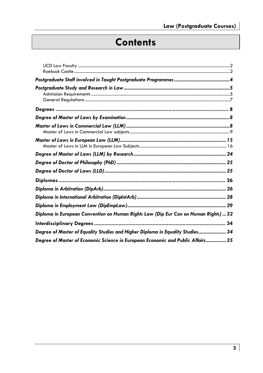# **Contents**

| Diploma in European Convention on Human Rights Law (Dip Eur Con on Human Rights)  32 |
|--------------------------------------------------------------------------------------|
|                                                                                      |
| Degree of Master of Equality Studies and Higher Diploma in Equality Studies 34       |
| Degree of Master of Economic Science in European Economic and Public Affairs 35      |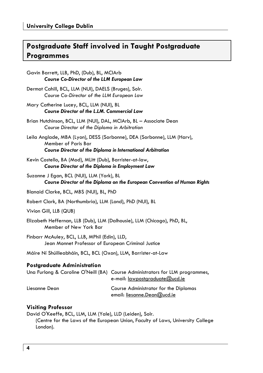# **Postgraduate Staff involved in Taught Postgraduate Programmes**

| Gavin Barrett, LLB, PhD, (Dub), BL, MCIArb<br><b>Course Co-Director of the LLM European Law</b>                                                                             |
|-----------------------------------------------------------------------------------------------------------------------------------------------------------------------------|
| Dermot Cahill, BCL, LLM (NUI), DAELS (Bruges), Solr.<br>Course Co-Director of the LLM European Law                                                                          |
| Mary Catherine Lucey, BCL, LLM (NUI), BL<br>Course Director of the L.LM. Commercial Law                                                                                     |
| Brian Hutchinson, BCL, LLM (NUI), DAL, MCIArb, BL - Associate Dean<br>Course Director of the Diploma in Arbitration                                                         |
| Leila Anglade, MBA (Lyon), DESS (Sorbonne), DEA (Sorbonne), LLM (Harv),<br><b>Member of Paris Bar</b><br><b>Course Director of the Diploma in International Arbitration</b> |
| Kevin Costello, BA (Mod), MLitt (Dub), Barrister-at-law,<br>Course Director of the Diploma in Employment Law                                                                |
| Suzanne J Egan, BCL (NUI), LLM (York), BL<br>Course Director of the Diploma on the European Convention of Human Rights                                                      |
| Blanaid Clarke, BCL, MBS (NUI), BL, PhD                                                                                                                                     |
| Robert Clark, BA (Northumbria), LLM (Lond), PhD (NUI), BL                                                                                                                   |
| Vivion Gill, LLB (QUB)                                                                                                                                                      |
| Elizabeth Heffernan, LLB (Dub), LLM (Dalhousie), LLM (Chicago), PhD, BL,<br>Member of New York Bar                                                                          |
| Finbarr McAuley, BCL, L.LB, MPhil (Edin), LLD,<br>Jean Monnet Professor of European Criminal Justice                                                                        |
| Máire Ní Shúilleabháin, BCL, BCL (Oxon), LLM, Barrister-at-Law                                                                                                              |
| Postgraduate Administration<br>Una Furlong & Caroline O'Neill (BA) Course Administrators for LLM programmes,<br>e-mail: <u>lawpostgraduate@ucd.ie</u>                       |

### Liesanne Dean Course Administrator for the Diplomas email: liesanne.Dean@ucd.ie

#### **Visiting Professor**

David O'Keeffe, BCL, LLM, LLM (Yale), LLD (Leiden), Solr.

(Centre for the Laws of the European Union, Faculty of Laws, University College London).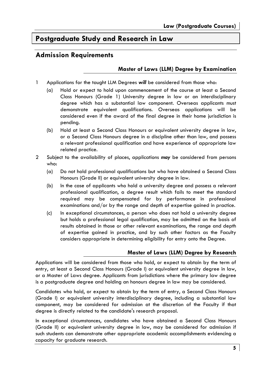# **Postgraduate Study and Research in Law**

## **Admission Requirements**

### **Master of Laws (LLM) Degree by Examination**

- 1 Applications for the taught LLM Degrees *will* be considered from those who:
	- (a) Hold or expect to hold upon commencement of the course at least a Second Class Honours (Grade 1) University degree in law or an interdisciplinary degree which has a substantial law component. Overseas applicants must demonstrate equivalent qualifications. Overseas applications will be considered even if the award of the final degree in their home jurisdiction is pending.
	- (b) Hold at least a Second Class Honours or equivalent university degree in law, or a Second Class Honours degree in a discipline other than law, and possess a relevant professional qualification and have experience of appropriate law related practice.
- 2 Subject to the availability of places, applications *may* be considered from persons who:
	- (a) Do not hold professional qualifications but who have obtained a Second Class Honours (Grade II) or equivalent university degree in law.
	- (b) In the case of applicants who hold a university degree and possess a relevant professional qualification, a degree result which fails to meet the standard required may be compensated for by performance in professional examinations and/or by the range and depth of expertise gained in practice.
	- (c) In exceptional circumstances, a person who does not hold a university degree but holds a professional legal qualification, may be admitted on the basis of results obtained in those or other relevant examinations, the range and depth of expertise gained in practice, and by such other factors as the Faculty considers appropriate in determining eligibility for entry onto the Degree.

### **Master of Laws (LLM) Degree by Research**

Applications will be considered from those who hold, or expect to obtain by the term of entry, at least a Second Class Honours (Grade I) or equivalent university degree in law, or a Master of Laws degree. Applicants from jurisdictions where the primary law degree is a postgraduate degree and holding an honours degree in law may be considered.

Candidates who hold, or expect to obtain by the term of entry, a Second Class Honours (Grade I) or equivalent university interdisciplinary degree, including a substantial law component, may be considered for admission at the discretion of the Faculty if that degree is directly related to the candidate's research proposal.

In exceptional circumstances, candidates who have obtained a Second Class Honours (Grade II) or equivalent university degree in law, may be considered for admission if such students can demonstrate other appropriate academic accomplishments evidencing a capacity for graduate research.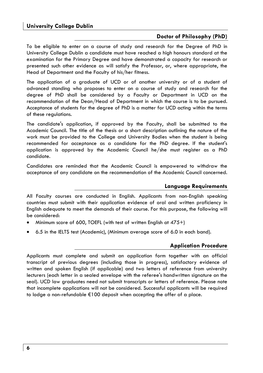#### **Doctor of Philosophy (PhD)**

To be eligible to enter on a course of study and research for the Degree of PhD in University College Dublin a candidate must have reached a high honours standard at the examination for the Primary Degree and have demonstrated a capacity for research or presented such other evidence as will satisfy the Professor, or, where appropriate, the Head of Department and the Faculty of his/her fitness.

The application of a graduate of UCD or of another university or of a student of advanced standing who proposes to enter on a course of study and research for the degree of PhD shall be considered by a Faculty or Department in UCD on the recommendation of the Dean/Head of Department in which the course is to be pursued. Acceptance of students for the degree of PhD is a matter for UCD acting within the terms of these regulations.

The candidate's application, if approved by the Faculty, shall be submitted to the Academic Council. The title of the thesis or a short description outlining the nature of the work must be provided to the College and University Bodies when the student is being recommended for acceptance as a candidate for the PhD degree. If the student's application is approved by the Academic Council he/she must register as a PhD candidate.

Candidates are reminded that the Academic Council is empowered to withdraw the acceptance of any candidate on the recommendation of the Academic Council concerned.

#### **Language Requirements**

All Faculty courses are conducted in English. Applicants from non-English speaking countries must submit with their application evidence of oral and written proficiency in English adequate to meet the demands of their course. For this purpose, the following will be considered:

- Minimum score of 600, TOEFL (with test of written English at 475+)
- 6.5 in the IELTS test (Academic), (Minimum average score of 6.0 in each band).

#### **Application Procedure**

Applicants must complete and submit an application form together with an official transcript of previous degrees (including those in progress), satisfactory evidence of written and spoken English (if applicable) and two letters of reference from university lecturers (each letter in a sealed envelope with the referee's handwritten signature on the seal). UCD law graduates need not submit transcripts or letters of reference. Please note that incomplete applications will not be considered. Successful applicants will be required to lodge a non-refundable €100 deposit when accepting the offer of a place.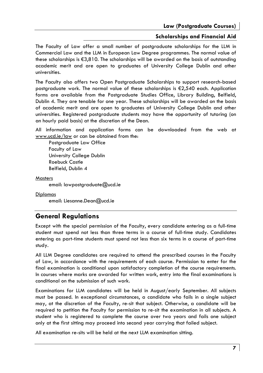#### **Scholarships and Financial Aid**

The Faculty of Law offer a small number of postgraduate scholarships for the LLM in Commercial Law and the LLM in European Law Degree programmes. The normal value of these scholarships is €3,810. The scholarships will be awarded on the basis of outstanding academic merit and are open to graduates of University College Dublin and other universities.

The Faculty also offers two Open Postgraduate Scholarships to support research-based postgraduate work. The normal value of these scholarships is €2,540 each. Application forms are available from the Postgraduate Studies Office, Library Building, Belfield, Dublin 4. They are tenable for one year. These scholarships will be awarded on the basis of academic merit and are open to graduates of University College Dublin and other universities. Registered postgraduate students may have the opportunity of tutoring (on an hourly paid basis) at the discretion of the Dean.

All information and application forms can be downloaded from the web at www.ucd.ie/law or can be obtained from the:

Postgraduate Law Office Faculty of Law University College Dublin Roebuck Castle Belfield, Dublin 4

**Masters** 

email: lawpostgraduate@ucd.ie

Diplomas

email: Liesanne.Dean@ucd.ie

### **General Regulations**

Except with the special permission of the Faculty, every candidate entering as a full-time student must spend not less than three terms in a course of full-time study. Candidates entering as part-time students must spend not less than six terms in a course of part-time study.

All LLM Degree candidates are required to attend the prescribed courses in the Faculty of Law, in accordance with the requirements of each course. Permission to enter for the final examination is conditional upon satisfactory completion of the course requirements. In courses where marks are awarded for written work, entry into the final examinations is conditional on the submission of such work.

Examinations for LLM candidates will be held in August/early September. All subjects must be passed. In exceptional circumstances, a candidate who fails in a single subject may, at the discretion of the Faculty, re-sit that subject. Otherwise, a candidate will be required to petition the Faculty for permission to re-sit the examination in all subjects. A student who is registered to complete the course over two years and fails one subject only at the first sitting may proceed into second year carrying that failed subject.

All examination re-sits will be held at the next LLM examination sitting.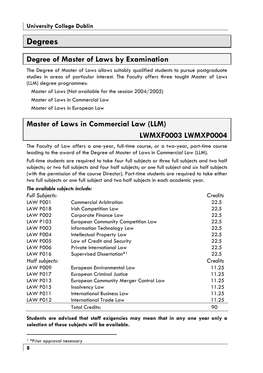# **Degrees**

# **Degree of Master of Laws by Examination**

The Degree of Master of Laws allows suitably qualified students to pursue postgraduate studies in areas of particular interest. The Faculty offers three taught Master of Laws (LLM) degree programmes:

Master of Laws (Not available for the session 2004/2005)

Master of Laws in Commercial Law

Master of Laws in European Law

# **Master of Laws in Commercial Law (LLM)**

## **LWMXF0003 LWMXP0004**

The Faculty of Law offers a one-year, full-time course, or a two-year, part-time course leading to the award of the Degree of Master of Laws in Commercial Law (LLM).

Full-time students are required to take *four* full subjects or *three* full subjects and *two* half subjects; or *two* full subjects and *four* half subjects; or *one* full subject and *six* half subjects (with the permission of the course Director). Part-time students are required to take either *two* full subjects or *one* full subject and *two* half subjects in each academic year.

#### *The available subjects include:*

| Full Subjects:  |                                           | Credits |
|-----------------|-------------------------------------------|---------|
| <b>LAW P001</b> | <b>Commercial Arbitration</b>             | 22.5    |
| <b>LAW P018</b> | Irish Competition Law                     | 22.5    |
| <b>LAW P002</b> | Corporate Finance Law                     | 22.5    |
| <b>LAW P103</b> | <b>European Community Competition Law</b> | 22.5    |
| <b>LAW P003</b> | Information Technology Law                | 22.5    |
| <b>LAW P004</b> | Intellectual Property Law                 | 22.5    |
| <b>LAW P005</b> | Law of Credit and Security                | 22.5    |
| <b>LAW P006</b> | Private International Law                 | 22.5    |
| <b>LAW P016</b> | Supervised Dissertation*1                 | 22.5    |
| Half subjects:  |                                           | Credits |
| <b>LAW P009</b> | European Environmental Law                | 11.25   |
| <b>LAW P017</b> | <b>European Criminal Justice</b>          | 11.25   |
| LAW P013        | European Community Merger Control Law     | 11.25   |
| <b>LAW P015</b> | Insolvency Law                            | 11.25   |
| LAW PO11        | International Business Law                | 11.25   |
| <b>LAW P012</b> | International Trade Law                   | 11.25   |
|                 | <b>Total Credits:</b>                     | 90      |

**Students are advised that staff exigencies may mean that in any one year only a selection of these subjects will be available.** 

<sup>1</sup> \*Prior approval necessary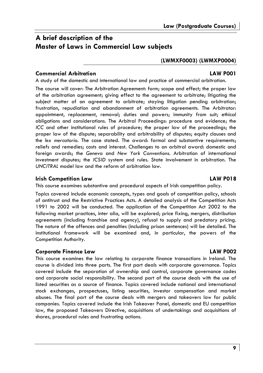# **A brief description of the Master of Laws in Commercial Law subjects**

#### **(LWMXF0003) (LWMXP0004)**

#### **Commercial Arbitration LAW P001**

A study of the domestic and international law and practice of commercial arbitration.

The course will cover: The Arbitration Agreement: form; scope and effect; the proper law of the arbitration agreement; giving effect to the agreement to arbitrate; litigating the subject matter of an agreement to arbitrate; staying litigation pending arbitration; frustration, repudiation and abandonment of arbitration agreements. The Arbitrator: appointment, replacement, removal; duties and powers; immunity from suit; ethical obligations and considerations. The Arbitral Proceedings: procedure and evidence; the *ICC* and other institutional rules of procedure; the proper law of the proceedings; the proper law of the dispute; separability and arbitrability of disputes; equity clauses and the *lex mercatoria.* The case stated. The award: formal and substantive requirements; reliefs and remedies; costs and interest. Challenges to an arbitral award: domestic and foreign awards; the *Geneva* and *New York Conventions.* Arbitration of international investment disputes; the *ICSID* system and rules. State involvement in arbitration. The *UNCITRAL* model law and the reform of arbitration law.

#### **Irish Competition Law LAW P018**

This course examines substantive and procedural aspects of Irish competition policy.

Topics covered include economic concepts, types and goals of competition policy, schools of antitrust and the Restrictive Practices Acts. A detailed analysis of the Competition Acts 1991 to 2002 will be conducted. The application of the Competition Act 2002 to the following market practices, inter alia, will be explored; price fixing, mergers, distribution agreements (including franchise and agency), refusal to supply and predatory pricing. The nature of the offences and penalties (including prison sentences) will be detailed. The institutional framework will be examined and, in particular, the powers of the Competition Authority.

#### **Corporate Finance Law LAW P002**

This course examines the law relating to corporate finance transactions in Ireland. The course is divided into three parts. The first part deals with corporate governance. Topics covered include the separation of ownership and control, corporate governance codes and corporate social responsibility. The second part of the course deals with the use of listed securities as a source of finance. Topics covered include national and international stock exchanges, prospectuses, listing securities, investor compensation and market abuses. The final part of the course deals with mergers and takeovers law for public companies. Topics covered include the Irish Takeover Panel, domestic and EU competition law, the proposed Takeovers Directive, acquisitions of undertakings and acquisitions of shares, procedural rules and frustrating actions.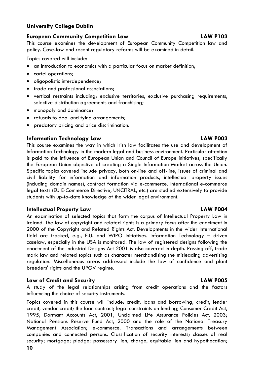### **University College Dublin**

#### **European Community Competition Law LAW P103**

This course examines the development of European Community Competition law and policy. Case-law and recent regulatory reforms will be examined in detail.

Topics covered will include:

- an introduction to economics with a particular focus on market definition;
- cartel operations;
- oligopolistic interdependence;
- trade and professional associations;
- vertical restraints including; exclusive territories, exclusive purchasing requirements, selective distribution agreements and franchising;
- monopoly and dominance;
- refusals to deal and tying arrangements;
- predatory pricing and price discrimination.

#### **Information Technology Law LAW P003**

This course examines the way in which Irish law facilitates the use and development of Information Technology in the modern legal and business environment. Particular attention is paid to the influence of European Union and Council of Europe initiatives, specifically the European Union objective of creating a Single Information Market across the Union. Specific topics covered include privacy, both on-line and off-line, issues of criminal and civil liability for information and information products, intellectual property issues (including domain names), contract formation via e-commerce. International e-commerce legal texts (EU E-Commerce Directive, UNCITRAL, etc.) are studied extensively to provide students with up-to-date knowledge of the wider legal environment.

#### **Intellectual Property Law LAW P004**

An examination of selected topics that form the corpus of Intellectual Property Law in Ireland. The law of copyright and related rights is a primary focus after the enactment in 2000 of the Copyright and Related Rights Act. Developments in the wider International field are tracked, e.g., E.U. and WIPO initiatives. Information Technology – driven caselaw, especially in the USA is monitored. The law of registered designs following the enactment of the Industrial Designs Act 2001 is also covered in depth. Passing off, trade mark law and related topics such as character merchandising the misleading advertising regulation. Miscellaneous areas addressed include the law of confidence and plant breeders' rights and the UPOV regime.

#### **Law of Credit and Security LAW P005**

A study of the legal relationships arising from credit operations and the factors influencing the choice of security instruments.

Topics covered in this course will include: credit, loans and borrowing; credit, lender credit, vendor credit; the loan contract; legal constraints on lending; Consumer Credit Act, 1995; Dormant Accounts Act, 2001; Unclaimed Life Assurance Policies Act, 2003; National Pensions Reserve Fund Act, 2000 and the role of the National Treasury Management Association; e-commerce. Transactions and arrangements between companies and connected persons. Classification of security interests; classes of real security; mortgage; pledge; possessory lien; charge, equitable lien and hypothecation;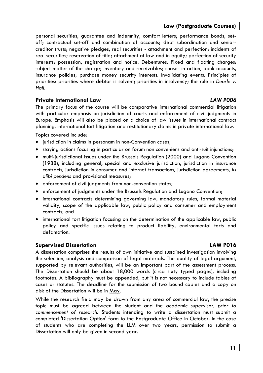personal securities; guarantee and indemnity; comfort letters; performance bonds; setoff; contractual set-off and combination of accounts; debt subordination and seniorcreditor trusts; negative pledges, real securities - attachment and perfection; incidents of real securities; reservation of title; attachment at law and in equity; perfection of security interests; possession, registration and notice. Debentures. Fixed and floating charges: subject matter of the charge; inventory and receivables; choses in action, bank accounts, insurance policies; purchase money security interests. Invalidating events. Principles of priorities: priorities where debtor is solvent; priorities in insolvency; the rule in *Dearle v. Hall.* 

#### **Private International Law** *LAW P006*

The primary focus of the course will be comparative international commercial litigation with particular emphasis on jurisdiction of courts and enforcement of civil judgments in Europe. Emphasis will also be placed on a choice of law issues in international contract planning, international tort litigation and restitutionary claims in private international law.

Topics covered include:

- jurisdiction in claims in personam in non-Convention cases;
- staying actions focusing in particular on forum non conveniens and anti-suit injunctions;
- multi-jurisdictional issues under the Brussels Regulation (2000) and Lugano Convention (1988), including general, special and exclusive jurisdiction, jurisdiction in insurance contracts, jurisdiction in consumer and internet transactions, jurisdiction agreements, *lis alibi pendens* and provisional measures;
- enforcement of civil judgments from non-convention states;
- enforcement of judgments under the Brussels Regulation and Lugano Convention;
- international contracts determining governing law, mandatory rules, formal material validity, scope of the applicable law, public policy and consumer and employment contracts; and
- international tort litigation focusing on the determination of the applicable law, public policy and specific issues relating to product liability, environmental torts and defamation.

### **Supervised Dissertation LAW P016**

#### A dissertation comprises the results of own initiative and sustained investigation involving the selection, analysis and comparison of legal materials. The quality of legal argument, supported by relevant authorities, will be an important part of the assessment process. The Dissertation should be about 18,000 words (circa sixty typed pages), including footnotes. A bibliography must be appended, but it is not necessary to include tables of cases or statutes. The deadline for the submission of two bound copies and a copy on disk of the Dissertation will be in May.

While the research field may be drawn from any area of commercial law, the precise topic must be agreed between the student and the academic supervisor, *prior to commencement of research*. Students intending to write a dissertation must submit a completed 'Dissertation Option' form to the Postgraduate Office in October. In the case of students who are completing the LLM over two years, permission to submit a Dissertation will only be given in second year.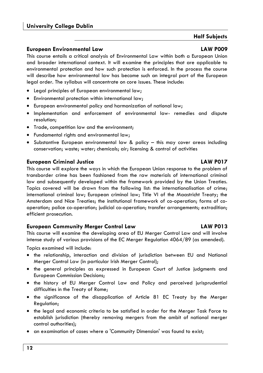### **University College Dublin**

#### **European Environmental Law LAW P009**

This course entails a critical analysis of Environmental Law within both a European Union and broader international context. It will examine the principles that are applicable to environmental protection and how such protection is enforced. In the process the course will describe how environmental law has become such an integral part of the European legal order. The syllabus will concentrate on core issues. These include:

- Legal principles of European environmental law;
- Environmental protection within international law;
- European environmental policy and harmonization of national law;
- Implementation and enforcement of environmental law- remedies and dispute resolution;
- Trade, competition law and the environment;
- Fundamental rights and environmental law;
- Substantive European environmental law & policy this may cover areas including conservation; waste; water; chemicals; air; licensing & control of activities

#### **European Criminal Justice LAW P017**

This course will explore the ways in which the European Union response to the problem of transborder crime has been fashioned from the raw materials of international criminal law and subsequently developed within the framework provided by the Union Treaties. Topics covered will be drawn from the following list: the internationalisation of crime; international criminal law; European criminal law; Title VI of the Maastricht Treaty; the Amsterdam and Nice Treaties; the institutional framework of co-operation; forms of cooperation; police co-operation; judicial co-operation; transfer arrangements; extradition; efficient prosecution.

#### **European Community Merger Control Law LAW P013**

This course will examine the developing area of EU Merger Control Law and will involve intense study of various provisions of the EC Merger Regulation 4064/89 (as amended).

Topics examined will include:

- the relationship, interaction and division of jurisdiction between EU and National Merger Control Law (in particular Irish Merger Control);
- the general principles as expressed in European Court of Justice judgments and European Commission Decisions;
- the history of EU Merger Control Law and Policy and perceived jurisprudential difficulties in the Treaty of Rome;
- the significance of the disapplication of Article 81 EC Treaty by the Merger Regulation;
- the legal and economic criteria to be satisfied in order for the Merger Task Force to establish jurisdiction (thereby removing mergers from the ambit of national merger control authorities);
- an examination of cases where a 'Community Dimension' was found to exist;

**Half Subjects**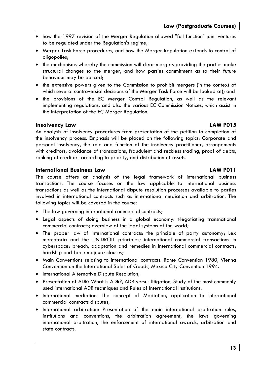- how the 1997 revision of the Merger Regulation allowed "full function" joint ventures to be regulated under the Regulation's regime;
- Merger Task Force procedures, and how the Merger Regulation extends to control of oligopolies;
- the mechanisms whereby the commission will clear mergers providing the parties make structural changes to the merger, and how parties commitment as to their future behaviour may be policed;
- the extensive powers given to the Commission to prohibit mergers (in the context of which several controversial decisions of the Merger Task Force will be looked at); and
- the provisions of the EC Merger Control Regulation, as well as the relevant implementing regulations, and also the various EC Commission Notices, which assist in the interpretation of the EC Merger Regulation.

#### **Insolvency Law LAW P015**

An analysis of insolvency procedures from presentation of the petition to completion of the insolvency process. Emphasis will be placed on the following topics: Corporate and personal insolvency, the role and function of the insolvency practitioner, arrangements with creditors, avoidance of transactions, fraudulent and reckless trading, proof of debts, ranking of creditors according to priority, and distribution of assets.

#### **International Business Law LAW P011**

#### The course offers an analysis of the legal framework of international business transactions. The course focuses on the law applicable to international business transactions as well as the international dispute resolution processes available to parties involved in international contracts such as international mediation and arbitration. The following topics will be covered in the course:

- The law governing international commercial contracts;
- Legal aspects of doing business in a global economy: Negotiating transnational commercial contracts; overview of the legal systems of the world;
- The proper law of international contracts: the principle of party autonomy; Lex mercatoria and the UNIDROIT principles; international commercial transactions in cyberspace; breach, adaptation and remedies in International commercial contracts; hardship and force majeure clauses;
- Main Conventions relating to international contracts: Rome Convention 1980, Vienna Convention on the International Sales of Goods, Mexico City Convention 1994.
- International Alternative Dispute Resolution;
- Presentation of ADR: What is ADR?, ADR versus litigation, Study of the most commonly used international ADR techniques and Rules of International Institutions.
- International mediation: The concept of Mediation, application to international commercial contracts disputes;
- International arbitration: Presentation of the main international arbitration rules, institutions and conventions, the arbitration agreement, the laws governing international arbitration, the enforcement of international awards, arbitration and state contracts.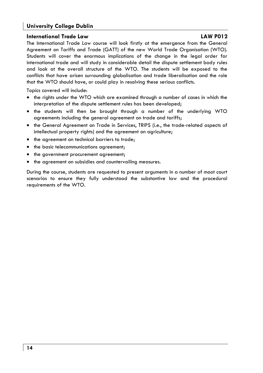### **University College Dublin**

#### **International Trade Law LAW P012**

The International Trade Law course will look firstly at the emergence from the General Agreement on Tariffs and Trade (GATT) of the new World Trade Organisation (WTO). Students will cover the enormous implications of the change in the legal order for international trade and will study in considerable detail the dispute settlement body rules and look at the overall structure of the WTO. The students will be exposed to the conflicts that have arisen surrounding globalisation and trade liberalisation and the role that the WTO should have, or could play in resolving these serious conflicts.

Topics covered will include:

- the rights under the WTO which are examined through a number of cases in which the interpretation of the dispute settlement rules has been developed;
- the students will then be brought through a number of the underlying WTO agreements including the general agreement on trade and tariffs;
- the General Agreement on Trade in Services, TRIPS (i.e., the trade-related aspects of intellectual property rights) and the agreement on agriculture;
- the agreement on technical barriers to trade;
- the basic telecommunications agreement;
- the government procurement agreement;
- the agreement on subsidies and countervailing measures.

During the course, students are requested to present arguments in a number of moot court scenarios to ensure they fully understood the substantive law and the procedural requirements of the WTO.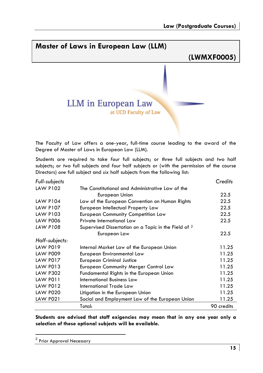# **Master of Laws in European Law (LLM) (LWMXF0005) LLM** in European Law at UCD Faculty of Law

The Faculty of Law offers a one-year, full-time course leading to the award of the Degree of Master of Laws in European Law (LLM).

Students are required to take *four* full subjects; or *three* full subjects and *two* half subjects; or *two* full subjects and *four* half subjects or (with the permission of the course Directors) *one* full subject and *six* half subjects from the following list:

| Full-subjects   |                                                                 | Credits    |
|-----------------|-----------------------------------------------------------------|------------|
| <b>LAW P102</b> | The Constitutional and Administrative Law of the                |            |
|                 | European Union                                                  | 22.5       |
| <b>LAW P104</b> | Law of the European Convention on Human Rights                  | 22.5       |
| <b>LAW P107</b> | European Intellectual Property Law                              | 22.5       |
| LAW P103        | <b>European Community Competition Law</b>                       | 22.5       |
| <b>LAW P006</b> | Private International Law                                       | 22.5       |
| <b>LAW P108</b> | Supervised Dissertation on a Topic in the Field of <sup>2</sup> |            |
|                 | European Law                                                    | 22.5       |
| Half-subjects:  |                                                                 |            |
| <b>LAW P019</b> | Internal Market Law of the European Union                       | 11.25      |
| <b>LAW P009</b> | European Environmental Law                                      | 11.25      |
| <b>LAW P017</b> | <b>European Criminal Justice</b>                                | 11.25      |
| LAW P013        | European Community Merger Control Law                           | 11.25      |
| <b>LAW P302</b> | Fundamental Rights in the European Union                        | 11.25      |
| LAW P011        | International Business Law                                      | 11.25      |
| <b>LAW P012</b> | International Trade Law                                         | 11.25      |
| <b>LAW P020</b> | Litigation in the European Union                                | 11.25      |
| <b>LAW P021</b> | Social and Employment Law of the European Union                 | 11.25      |
|                 | Total:                                                          | 90 credits |

**Students are advised that staff exigencies may mean that in any one year only a selection of these optional subjects will be available.** 

<sup>&</sup>lt;sup>2</sup> Prior Approval Necessary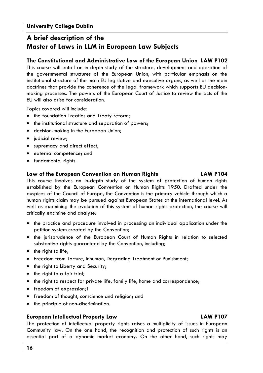# **A brief description of the Master of Laws in LLM in European Law Subjects**

### **The Constitutional and Administrative Law of the European Union LAW P102**

This course will entail an in-depth study of the structure, development and operation of the governmental structures of the European Union, with particular emphasis on the institutional structure of the main EU legislative and executive organs, as well as the main doctrines that provide the coherence of the legal framework which supports EU decisionmaking processes. The powers of the European Court of Justice to review the acts of the EU will also arise for consideration.

Topics covered will include:

- the foundation Treaties and Treaty reform;
- the institutional structure and separation of powers;
- decision-making in the European Union;
- judicial review;
- supremacy and direct effect;
- external competence; and
- fundamental rights.

#### **Law of the European Convention on Human Rights LAW P104**

This course involves an in-depth study of the system of protection of human rights established by the European Convention on Human Rights 1950. Drafted under the auspices of the Council of Europe, the Convention is the primary vehicle through which a human rights claim may be pursued against European States at the international level. As well as examining the evolution of this system of human rights protection, the course will critically examine and analyse:

- the practice and procedure involved in processing an individual application under the petition system created by the Convention;
- the jurisprudence of the European Court of Human Rights in relation to selected substantive rights guaranteed by the Convention, including;
- the right to life;
- Freedom from Torture, Inhuman, Degrading Treatment or Punishment;
- the right to Liberty and Security;
- the right to a fair trial;
- the right to respect for private life, family life, home and correspondence;
- freedom of expression;1
- freedom of thought, conscience and religion; and
- the principle of non-discrimination.

#### **European Intellectual Property Law LAW P107**

The protection of intellectual property rights raises a multiplicity of issues in European Community law. On the one hand, the recognition and protection of such rights is an essential part of a dynamic market economy. On the other hand, such rights may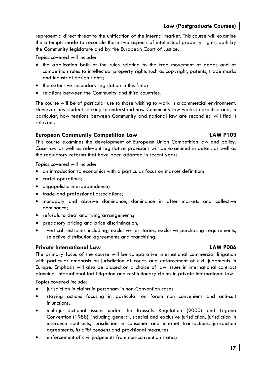**Law (Postgraduate Courses)** 

represent a direct threat to the unification of the internal market. This course will examine the attempts made to reconcile these two aspects of intellectual property rights, both by the Community legislature and by the European Court of Justice.

Topics covered will include:

- the application both of the rules relating to the free movement of goods and of competition rules to intellectual property rights such as copyright, patents, trade marks and industrial design rights;
- the extensive secondary legislation in this field;
- relations between the Community and third countries.

The course will be of particular use to those wishing to work in a commercial environment. However any student seeking to understand how Community law works in practice and, in particular, how tensions between Community and national law are reconciled will find it relevant.

#### **European Community Competition Law LAW P103**

This course examines the development of European Union Competition law and policy. Case-law as well as relevant legislative provisions will be examined in detail, as well as the regulatory reforms that have been adopted in recent years.

Topics covered will include:

- an introduction to economics with a particular focus on market definition;
- cartel operations;
- oligopolistic interdependence:
- trade and professional associations;
- monopoly and abusive dominance, dominance in after markets and collective dominance;
- refusals to deal and tying arrangements;
- predatory pricing and price discrimination;
- vertical restraints including; exclusive territories, exclusive purchasing requirements, selective distribution agreements and franchising.

#### **Private International Law LAW P006**

### The primary focus of the course will be comparative international commercial litigation with particular emphasis on jurisdiction of courts and enforcement of civil judgments in Europe. Emphasis will also be placed on a choice of law issues in international contract planning, international tort litigation and restitutionary claims in private international law.

Topics covered include:

- jurisdiction in claims in personam in non-Convention cases;
- staying actions focusing in particular on forum non conveniens and anti-suit injunctions;
- multi-jurisdictional issues under the Brussels Regulation (2000) and Lugano Convention (1988), including general, special and exclusive jurisdiction, jurisdiction in insurance contracts, jurisdiction in consumer and internet transactions, jurisdiction agreements, *lis alibi pendens* and provisional measures;
- enforcement of civil judgments from non-convention states;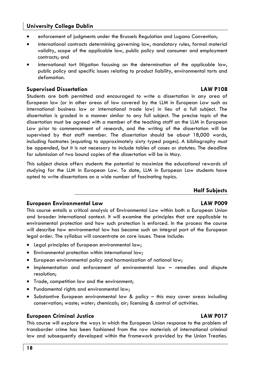### **University College Dublin**

- enforcement of judgments under the Brussels Regulation and Lugano Convention:
- international contracts determining governing law, mandatory rules, formal material validity, scope of the applicable law, public policy and consumer and employment contracts; and
- international tort litigation focusing on the determination of the applicable law, public policy and specific issues relating to product liability, environmental torts and defamation.

#### **Supervised Dissertation LAW P108**

Students are both permitted and encouraged to write a dissertation in any area of European law (or in other areas of law covered by the LLM in European Law such as international business law or international trade law) in lieu of a full subject. The dissertation is graded in a manner similar to any full subject. The precise topic of the dissertation must be agreed with a member of the teaching staff on the LLM in European Law prior to commencement of research, and the writing of the dissertation will be supervised by that staff member. The dissertation should be about 18,000 words, including footnotes (equating to approximately sixty typed pages). A bibliography must be appended, but it is not necessary to include tables of cases or statutes. The deadline for submission of two bound copies of the dissertation will be in May.

This subject choice offers students the potential to maximize the educational rewards of studying for the LLM in European Law. To date, LLM in European Law students have opted to write dissertations on a wide number of fascinating topics.

#### **Half Subjects**

#### **European Environmental Law LAW P009**

This course entails a critical analysis of Environmental Law within both a European Union and broader international context. It will examine the principles that are applicable to environmental protection and how such protection is enforced. In the process the course will describe how environmental law has become such an integral part of the European legal order. The syllabus will concentrate on core issues. These include:

- Legal principles of European environmental law;
- Environmental protection within international law;
- European environmental policy and harmonization of national law;
- Implementation and enforcement of environmental law remedies and dispute resolution;
- Trade, competition law and the environment;
- Fundamental rights and environmental law;
- Substantive European environmental law & policy this may cover areas including conservation; waste; water; chemicals; air; licensing & control of activities.

#### **European Criminal Justice LAW P017**

This course will explore the ways in which the European Union response to the problem of transborder crime has been fashioned from the raw materials of international criminal law and subsequently developed within the framework provided by the Union Treaties.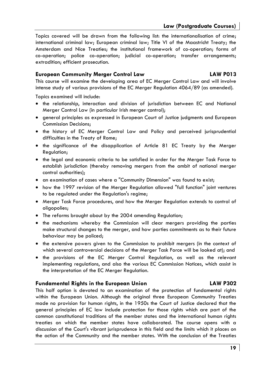Topics covered will be drawn from the following list: the internationalisation of crime; international criminal law; European criminal law; Title VI of the Maastricht Treaty; the Amsterdam and Nice Treaties; the institutional framework of co-operation; forms of co-operation; police co-operation; judicial co-operation; transfer arrangements; extradition; efficient prosecution.

#### **European Community Merger Control Law LAW P013**

This course will examine the developing area of EC Merger Control Law and will involve intense study of various provisions of the EC Merger Regulation 4064/89 (as amended).

Topics examined will include:

- the relationship, interaction and division of jurisdiction between EC and National Merger Control Law (in particular Irish merger control);
- general principles as expressed in European Court of Justice judgments and European Commission Decisions;
- the history of EC Merger Control Law and Policy and perceived jurisprudential difficulties in the Treaty of Rome;
- the significance of the disapplication of Article 81 EC Treaty by the Merger Regulation;
- the legal and economic criteria to be satisfied in order for the Merger Task Force to establish jurisdiction (thereby removing mergers from the ambit of national merger control authorities);
- an examination of cases where a "Community Dimension" was found to exist;
- how the 1997 revision of the Merger Regulation allowed "full function" joint ventures to be regulated under the Regulation's regime;
- Merger Task Force procedures, and how the Merger Regulation extends to control of oligopolies;
- The reforms brought about by the 2004 amending Regulation;
- the mechanisms whereby the Commission will clear mergers providing the parties make structural changes to the merger, and how parties commitments as to their future behaviour may be policed;
- the extensive powers given to the Commission to prohibit mergers (in the context of which several controversial decisions of the Merger Task Force will be looked at); and
- the provisions of the EC Merger Control Regulation, as well as the relevant implementing regulations, and also the various EC Commission Notices, which assist in the interpretation of the EC Merger Regulation.

#### **Fundamental Rights in the European Union LAW P302**

This half option is devoted to an examination of the protection of fundamental rights within the European Union. Although the original three European Community Treaties made no provision for human rights, in the 1950s the Court of Justice declared that the general principles of EC law include protection for those rights which are part of the common constitutional traditions of the member states and the international human rights treaties on which the member states have collaborated. The course opens with a discussion of the Court's vibrant jurisprudence in this field and the limits which it places on the action of the Community and the member states. With the conclusion of the Treaties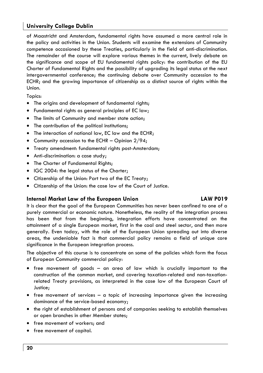### **University College Dublin**

of Maastricht and Amsterdam, fundamental rights have assumed a more central role in the policy and activities in the Union. Students will examine the extensions of Community competence occasioned by these Treaties, particularly in the field of anti-discrimination. The remainder of the course will explore various themes in the current, lively debate on the significance and scope of EU fundamental rights policy: the contribution of the EU Charter of Fundamental Rights and the possibility of upgrading its legal status at the next intergovernmental conference; the continuing debate over Community accession to the ECHR; and the growing importance of citizenship as a distinct source of rights within the Union.

Topics:

- The origins and development of fundamental rights;
- Fundamental rights as general principles of EC law;
- The limits of Community and member state action;
- The contribution of the political institutions;
- The interaction of national law, EC law and the ECHR;
- Community accession to the ECHR Opinion  $2/94$ ;
- Treaty amendment: fundamental rights post-Amsterdam;
- Anti-discrimination: a case study;
- The Charter of Fundamental Rights;
- IGC 2004: the legal status of the Charter;
- Citizenship of the Union: Part two of the EC Treaty;
- Citizenship of the Union: the case law of the Court of Justice.

#### **Internal Market Law of the European Union LAW P019**

It is clear that the goal of the European Communities has never been confined to one of a purely commercial or economic nature. Nonetheless, the reality of the integration process has been that from the beginning, integration efforts have concentrated on the attainment of a single European market, first in the coal and steel sector, and then more generally. Even today, with the role of the European Union spreading out into diverse areas, the undeniable fact is that commercial policy remains a field of unique core significance in the European integration process.

The objective of this course is to concentrate on some of the policies which form the focus of European Community commercial policy:

- free movement of goods an area of law which is crucially important to the construction of the common market, and covering taxation-related and non-taxationrelated Treaty provisions, as interpreted in the case law of the European Court of Justice;
- free movement of services  $-$  a topic of increasing importance given the increasing dominance of the service-based economy;
- the right of establishment of persons and of companies seeking to establish themselves or open branches in other Member states;
- free movement of workers; and
- free movement of capital.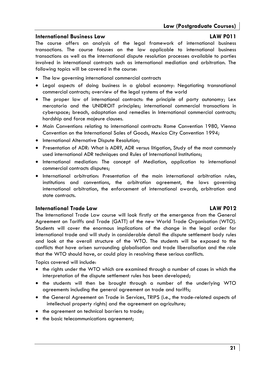#### **International Business Law LAW P011**

The course offers an analysis of the legal framework of international business transactions. The course focuses on the law applicable to international business transactions as well as the international dispute resolution processes available to parties involved in international contracts such as international mediation and arbitration. The following topics will be covered in the course:

- The law governing international commercial contracts
- Legal aspects of doing business in a global economy: Negotiating transnational commercial contracts; overview of the legal systems of the world
- The proper law of international contracts: the principle of party autonomy; Lex mercatoria and the UNIDROIT principles; international commercial transactions in cyberspace; breach, adaptation and remedies in International commercial contracts; hardship and force majeure clauses.
- Main Conventions relating to international contracts: Rome Convention 1980, Vienna Convention on the International Sales of Goods, Mexico City Convention 1994;
- International Alternative Dispute Resolution;
- Presentation of ADR: What is ADR?, ADR versus litigation, Study of the most commonly used international ADR techniques and Rules of International Institutions;
- International mediation: The concept of Mediation, application to international commercial contracts disputes;
- International arbitration: Presentation of the main international arbitration rules, institutions and conventions, the arbitration agreement, the laws governing international arbitration, the enforcement of international awards, arbitration and state contracts.

#### **International Trade Law LAW P012**

The International Trade Law course will look firstly at the emergence from the General Agreement on Tariffs and Trade (GATT) of the new World Trade Organisation (WTO). Students will cover the enormous implications of the change in the legal order for international trade and will study in considerable detail the dispute settlement body rules and look at the overall structure of the WTO. The students will be exposed to the conflicts that have arisen surrounding globalisation and trade liberalisation and the role that the WTO should have, or could play in resolving these serious conflicts.

Topics covered will include:

- the rights under the WTO which are examined through a number of cases in which the interpretation of the dispute settlement rules has been developed;
- the students will then be brought through a number of the underlying WTO agreements including the general agreement on trade and tariffs;
- the General Agreement on Trade in Services, TRIPS (i.e., the trade-related aspects of intellectual property rights) and the agreement on agriculture;
- the agreement on technical barriers to trade;
- the basic telecommunications agreement;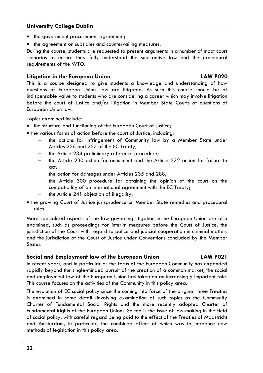### **University College Dublin**

- the government procurement agreement:
- the agreement on subsidies and countervailing measures.

During the course, students are requested to present arguments in a number of moot court scenarios to ensure they fully understood the substantive law and the procedural requirements of the WTO.

#### **Litigation in the European Union LAW P020**

#### This is a course designed to give students a knowledge and understanding of how questions of European Union Law are litigated. As such this course should be of indispensable value to students who are considering a career which may involve litigation before the court of Justice and/or litigation in Member State Courts of questions of European Union law.

Topics examined include:

- the structure and functioning of the European Court of Justice;
- the various forms of action before the court of Justice, including:
	- the actions for infringement of Community law by a Member State under Articles 226 and 227 of the EC Treaty;
	- the Article 234 preliminary reference procedure;
	- the Article 230 action for annulment and the Article 232 action for failure to act;
	- the action for damages under Articles 235 and 288;
	- the Article 300 procedure for obtaining the opinion of the court on the compatibility of an international agreement with the EC Treaty;
	- the Article 241 objection of illegality;
- the growing Court of Justice jurisprudence on Member State remedies and procedural rules.

More specialised aspects of the law governing litigation in the European Union are also examined, such as proceedings for interim measures before the Court of Justice, the jurisdiction of the Court with regard to police and judicial cooperation in criminal matters and the jurisdiction of the Court of Justice under Conventions concluded by the Member States.

#### **Social and Employment law of the European Union LAW P021**

In recent years, and in particular as the focus of the European Community has expanded rapidly beyond the single-minded pursuit of the creation of a common market, the social and employment law of the European Union has taken on an increasingly important role. This course focuses on the activities of the Community in this policy area.

The evolution of EC social policy since the coming into force of the original three Treaties is examined in some detail (involving examination of such topics as the Community Charter of Fundamental Social Rights and the more recently adopted Charter of Fundamental Rights of the European Union). So too is the issue of law-making in the field of social policy, with careful regard being paid to the effect of the Treaties of Maastricht and Amsterdam, in particular, the combined effect of which was to introduce new methods of legislation in this policy area.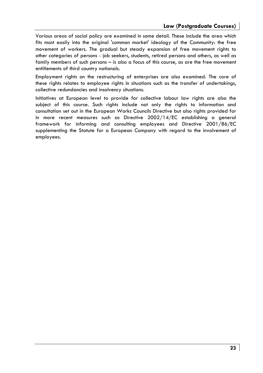Various areas of social policy are examined in some detail. These include the area which fits most easily into the original 'common market' ideology of the Community: the free movement of workers. The gradual but steady expansion of free movement rights to other categories of persons - job seekers, students, retired persons and others, as well as family members of such persons – is also a focus of this course, as are the free movement entitlements of third country nationals.

Employment rights on the restructuring of enterprises are also examined. The core of these rights relates to employee rights in situations such as the transfer of undertakings, collective redundancies and insolvency situations.

Initiatives at European level to provide for collective labour law rights are also the subject of this course. Such rights include not only the rights to information and consultation set out in the European Works Councils Directive but also rights provided for in more recent measures such as Directive 2002/14/EC establishing a general framework for informing and consulting employees and Directive 2001/86/EC supplementing the Statute for a European Company with regard to the involvement of employees.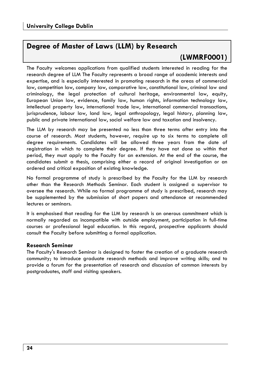# **Degree of Master of Laws (LLM) by Research**

# **(LWMRF0001)**

The Faculty welcomes applications from qualified students interested in reading for the research degree of LLM The Faculty represents a broad range of academic interests and expertise, and is especially interested in promoting research in the areas of commercial law, competition law, company law, comparative law, constitutional law, criminal law and criminology, the legal protection of cultural heritage, environmental law, equity, European Union law, evidence, family law, human rights, information technology law, intellectual property law, international trade law, international commercial transactions, jurisprudence, labour law, land law, legal anthropology, legal history, planning law, public and private international law, social welfare law and taxation and insolvency.

The LLM by research may be presented no less than three terms after entry into the course of research. Most students, however, require up to six terms to complete all degree requirements. Candidates will be allowed three years from the date of registration in which to complete their degree. If they have not done so within that period, they must apply to the Faculty for an extension. At the end of the course, the candidates submit a thesis, comprising either a record of original investigation or an ordered and critical exposition of existing knowledge.

No formal programme of study is prescribed by the Faculty for the LLM by research other than the Research Methods Seminar. Each student is assigned a supervisor to oversee the research. While no formal programme of study is prescribed, research may be supplemented by the submission of short papers and attendance at recommended lectures or seminars.

It is emphasised that reading for the LLM by research is an onerous commitment which is normally regarded as incompatible with outside employment, participation in full-time courses or professional legal education. In this regard, prospective applicants should consult the Faculty before submitting a formal application.

#### **Research Seminar**

The Faculty's Research Seminar is designed to foster the creation of a graduate research community; to introduce graduate research methods and improve writing skills; and to provide a forum for the presentation of research and discussion of common interests by postgraduates, staff and visiting speakers.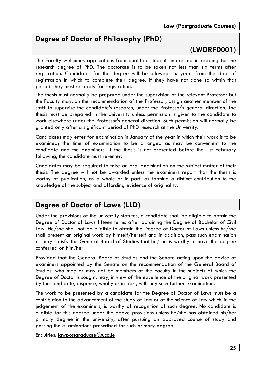# **Degree of Doctor of Philosophy (PhD)**

# **(LWDRF0001)**

The Faculty welcomes applications from qualified students interested in reading for the research degree of PhD. The doctorate is to be taken not less than six terms after registration. Candidates for the degree will be allowed six years from the date of registration in which to complete their degree. If they have not done so within that period, they must re-apply for registration.

The thesis must normally be prepared under the supervision of the relevant Professor but the Faculty may, on the recommendation of the Professor, assign another member of the staff to supervise the candidate's research, under the Professor's general direction. The thesis must be prepared in the University unless permission is given to the candidate to work elsewhere under the Professor's general direction. Such permission will normally be granted only after a significant period of PhD research at the University.

Candidates may enter for examination in January of the year in which their work is to be examined; the time of examination to be arranged as may be convenient to the candidate and the examiners. If the thesis is not presented before the 1st February following, the candidate must re-enter.

Candidates may be required to take an oral examination on the subject matter of their thesis. The degree will not be awarded unless the examiners report that the thesis is worthy of publication, as a whole or in part, as forming a distinct contribution to the knowledge of the subject and affording evidence of originality.

# **Degree of Doctor of Laws (LLD)**

Under the provisions of the university statutes, a candidate shall be eligible to obtain the Degree of Doctor of Laws fifteen terms after obtaining the Degree of Bachelor of Civil Law. He/she shall not be eligible to obtain the Degree of Doctor of Laws unless he/she shall present an original work by himself/herself and in addition, pass such examination as may satisfy the General Board of Studies that he/she is worthy to have the degree conferred on him/her.

Provided that the General Board of Studies and the Senate acting upon the advice of examiners appointed by the Senate on the recommendation of the General Board of Studies, who may or may not be members of the Faculty in the subjects of which the Degree of Doctor is sought, may, in view of the excellence of the original work presented by the candidate, dispense, wholly or in part, with any such further examination.

The work to be presented by a candidate for the Degree of Doctor of Laws must be a contribution to the advancement of the study of Law or of the science of Law which, in the judgement of the examiners, is worthy of recognition of such degree. No candidate is eligible for this degree under the above provisions unless he/she has obtained his/her primary degree in the university, after pursuing an approved course of study and passing the examinations prescribed for such primary degree.

Enquiries: lawpostgraduate@ucd.ie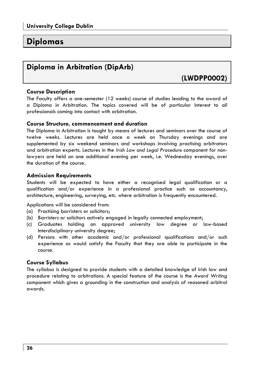# **Diplomas**

# **Diploma in Arbitration (DipArb)**

**(LWDPP0002)** 

#### **Course Description**

The Faculty offers a one-semester (12 weeks) course of studies leading to the award of a Diploma in Arbitration. The topics covered will be of particular interest to all professionals coming into contact with arbitration.

#### **Course Structure, commencement and duration**

The Diploma in Arbitration is taught by means of lectures and seminars over the course of twelve weeks. Lectures are held once a week on Thursday evenings and are supplemented by six weekend seminars and workshops involving practising arbitrators and arbitration experts. Lectures in the *Irish Law and Legal Procedure* component for nonlawyers are held on one additional evening per week, i.e. Wednesday evenings, over the duration of the course.

#### **Admission Requirements**

Students will be expected to have either a recognised legal qualification or a qualification and/or experience in a professional practice such as accountancy, architecture, engineering, surveying, etc. where arbitration is frequently encountered.

Applications will be considered from:

- (a) Practising barristers or solicitors;
- (b) Barristers or solicitors actively engaged in legally connected employment;
- (c) Graduates holding an approved university law degree or law-based Interdisciplinary university degree;
- (d) Persons with other academic and/or professional qualifications and/or such experience as would satisfy the Faculty that they are able to participate in the course.

#### **Course Syllabus**

The syllabus is designed to provide students with a detailed knowledge of Irish law and procedure relating to arbitrations. A special feature of the course is the *Award Writing* component which gives a grounding in the construction and analysis of reasoned arbitral awards.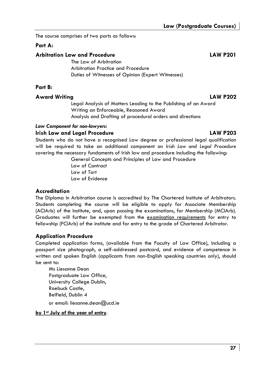The course comprises of two parts as follows:

### **Part A:**

#### **Arbitration Law and Procedure LAW P201**

The Law of Arbitration Arbitration Practice and Procedure Duties of Witnesses of Opinion (Expert Witnesses)

### **Part B:**

### **Award Writing LAW P202**

 Legal Analysis of Matters Leading to the Publishing of an Award Writing an Enforceable, Reasoned Award Analysis and Drafting of procedural orders and directions

#### *Law Component for non-lawyers:*

#### **Irish Law and Legal Procedure LAW P203**

Students who do not have a recognised Law degree or professional legal qualification will be required to take an additional component on *Irish Law and Legal Procedure* covering the necessary fundaments of Irish law and procedure including the following:

 General Concepts and Principles of Law and Procedure Law of Contract Law of Tort

Law of Evidence

#### **Accreditation**

The Diploma in Arbitration course is accredited by The Chartered Institute of Arbitrators. Students completing the course will be eligible to apply for Associate Membership (ACIArb) of the Institute, and, upon passing the examinations, for Membership (MCIArb). Graduates will further be exempted from the examination requirements for entry to fellowship (FCIArb) of the institute and for entry to the grade of Chartered Arbitrator.

### **Application Procedure**

Completed application forms, (available from the Faculty of Law Office), including a passport size photograph, a self-addressed postcard, and evidence of competence in written and spoken English (applicants from non-English speaking countries only), should be sent to:

Ms Liesanne Dean Postaraduate Law Office. University College Dublin, Roebuck Castle, Belfield, Dublin 4

or email: liesanne.dean@ucd.ie

#### **by 1st July of the year of entry**.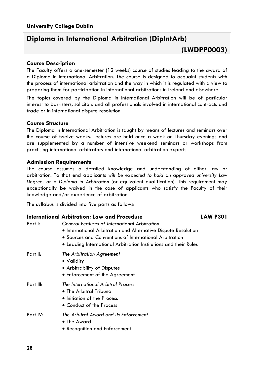# **Diploma in International Arbitration (DipIntArb)**

#### **Course Description**

The Faculty offers a one-semester (12 weeks) course of studies leading to the award of a Diploma in International Arbitration. The course is designed to acquaint students with the process of international arbitration and the way in which it is regulated with a view to preparing them for participation in international arbitrations in Ireland and elsewhere.

The topics covered by the Diploma in International Arbitration will be of particular interest to barristers, solicitors and all professionals involved in international contracts and trade or in international dispute resolution.

#### **Course Structure**

The Diploma in International Arbitration is taught by means of lectures and seminars over the course of twelve weeks. Lectures are held once a week on Thursday evenings and are supplemented by a number of intensive weekend seminars or workshops from practising international arbitrators and international arbitration experts.

#### **Admission Requirements**

The course assumes a detailed knowledge and understanding of either law or arbitration. To that end applicants *will be expected to hold an approved university Law Degree,* or a *Diploma in Arbitration* (or equivalent qualification). This requirement may exceptionally be waived in the case of applicants who satisfy the Faculty of their knowledge and/or experience of arbitration.

The syllabus is divided into five parts as follows:

| Part I:   | International Arbitration: Law and Procedure<br><b>General Features of International Arbitration</b><br>• International Arbitration and Alternative Dispute Resolution<br>• Sources and Conventions of International Arbitration<br>• Leading International Arbitration Institutions and their Rules | <b>LAW P301</b> |
|-----------|------------------------------------------------------------------------------------------------------------------------------------------------------------------------------------------------------------------------------------------------------------------------------------------------------|-----------------|
| Part II:  | The Arbitration Agreement<br>• Validity<br>• Arbitrability of Disputes<br>• Enforcement of the Agreement                                                                                                                                                                                             |                 |
| Part III: | The International Arbitral Process<br>• The Arbitral Tribunal<br>• Initiation of the Process<br>• Conduct of the Process                                                                                                                                                                             |                 |
| Part IV:  | The Arbitral Award and its Enforcement<br>• The Award<br>• Recognition and Enforcement                                                                                                                                                                                                               |                 |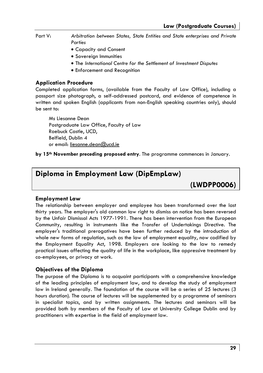Part V: *Arbitration between States, State Entities and State enterprises and Private Parties* 

- Capacity and Consent
- Sovereign Immunities
- The *International Centre for the Settlement of Investment Disputes*
- Enforcement and Recognition

#### **Application Procedure**

Completed application forms, (available from the Faculty of Law Office), including a passport size photograph, a self-addressed postcard, and evidence of competence in written and spoken English (applicants from non-English speaking countries only), should be sent to:

Ms Liesanne Dean Postgraduate Law Office, Faculty of Law Roebuck Castle, UCD, Belfield, Dublin 4 or email: liesanne.dean@ucd.ie

**by 15th November preceding proposed entry**. The programme commences in January.

## **Diploma in Employment Law (DipEmpLaw)**

**(LWDPP0006)** 

#### **Employment Law**

The relationship between employer and employee has been transformed over the last thirty years. The employer's old common law right to dismiss on notice has been reversed by the Unfair Dismissal Acts 1977-1991. There has been intervention from the European Community, resulting in instruments like the Transfer of Undertakings Directive. The employer's traditional prerogatives have been further reduced by the introduction of whole new forms of regulation, such as the law of employment equality, now codified by the Employment Equality Act, 1998. Employers are looking to the law to remedy practical issues affecting the quality of life in the workplace, like oppressive treatment by co-employees, or privacy at work.

#### **Objectives of the Diploma**

The purpose of the Diploma is to acquaint participants with a comprehensive knowledge of the leading principles of employment law, and to develop the study of employment law in Ireland generally. The foundation of the course will be a series of 25 lectures (3 hours duration). The course of lectures will be supplemented by a programme of seminars in specialist topics, and by written assignments. The lectures and seminars will be provided both by members of the Faculty of Law at University College Dublin and by practitioners with expertise in the field of employment law.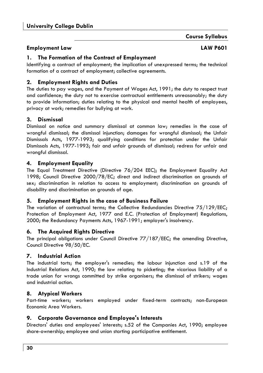### **Course Syllabus**

#### **Employment Law LAW P601**

### **1. The Formation of the Contract of Employment**

Identifying a contract of employment; the implication of unexpressed terms; the technical formation of a contract of employment; collective agreements.

### **2. Employment Rights and Duties**

The duties to pay wages, and the Payment of Wages Act, 1991; the duty to respect trust and confidence; the duty not to exercise contractual entitlements unreasonably; the duty to provide information; duties relating to the physical and mental health of employees, privacy at work; remedies for bullying at work.

### **3. Dismissal**

Dismissal on notice and summary dismissal at common law; remedies in the case of wrongful dismissal; the dismissal injunction; damages for wrongful dismissal; the Unfair Dismissals Acts, 1977-1993; qualifying conditions for protection under the Unfair Dismissals Acts, 1977-1993; fair and unfair grounds of dismissal; redress for unfair and wrongful dismissal.

#### **4. Employment Equality**

The Equal Treatment Directive (Directive 76/204 EEC); the Employment Equality Act 1998; Council Directive 2000/78/EC; direct and indirect discrimination on grounds of sex; discrimination in relation to access to employment; discrimination on grounds of disability and discrimination on grounds of age.

#### **5. Employment Rights in the case of Business Failure**

The variation of contractual terms; the Collective Redundancies Directive 75/129/EEC; Protection of Employment Act, 1977 and E.C. (Protection of Employment) Regulations, 2000; the Redundancy Payments Acts, 1967-1991; employer's insolvency.

#### **6. The Acquired Rights Directive**

The principal obligations under Council Directive 77/187/EEC; the amending Directive, Council Directive 98/50/EC.

### **7. Industrial Action**

The industrial torts; the employer's remedies; the labour injunction and s.19 of the Industrial Relations Act, 1990; the law relating to picketing; the vicarious liability of a trade union for wrongs committed by strike organisers; the dismissal of strikers; wages and industrial action.

### **8. Atypical Workers**

Part-time workers; workers employed under fixed-term contracts; non-European Economic Area Workers.

#### **9. Corporate Governance and Employee's Interests**

Directors' duties and employees' interests; s.52 of the Companies Act, 1990; employee share-ownership; employee and union starting participative entitlement.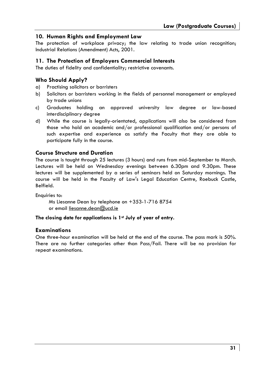#### **10. Human Rights and Employment Law**

The protection of workplace privacy; the law relating to trade union recognition; Industrial Relations (Amendment) Acts, 2001.

#### **11. The Protection of Employers Commercial Interests**

The duties of fidelity and confidentiality; restrictive covenants.

#### **Who Should Apply?**

- a) Practising solicitors or barristers
- b) Solicitors or barristers working in the fields of personnel management or employed by trade unions
- c) Graduates holding an approved university law degree or law-based interdisciplinary degree
- d) While the course is legally-orientated, applications will also be considered from those who hold an academic and/or professional qualification and/or persons of such expertise and experience as satisfy the Faculty that they are able to participate fully in the course.

#### **Course Structure and Duration**

The course is taught through 25 lectures (3 hours) and runs from mid-September to March. Lectures will be held on Wednesday evenings between 6.30pm and 9.30pm. These lectures will be supplemented by a series of seminars held on Saturday mornings. The course will be held in the Faculty of Law's Legal Education Centre, Roebuck Castle, Belfield.

Enquiries to:

Ms Liesanne Dean by telephone on +353-1-716 8754 or email liesanne.dean@ucd.ie

#### **The closing date for applications is 1st July of year of entry.**

#### **Examinations**

One three-hour examination will be held at the end of the course. The pass mark is 50%. There are no further categories other than Pass/Fail. There will be no provision for repeat examinations.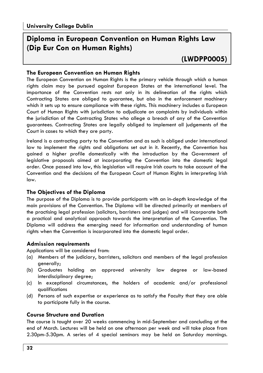# **Diploma in European Convention on Human Rights Law (Dip Eur Con on Human Rights)**

# **(LWDPP0005)**

### **The European Convention on Human Rights**

The European Convention on Human Rights is the primary vehicle through which a human rights claim may be pursued against European States at the international level. The importance of the Convention rests not only in its delineation of the rights which Contracting States are obliged to guarantee, but also in the enforcement machinery which it sets up to ensure compliance with these rights. This machinery includes a European Court of Human Rights with jurisdiction to adjudicate on complaints by individuals within the jurisdiction of the Contracting States who allege a breach of any of the Convention guarantees. Contracting States are legally obliged to implement all judgements of the Court in cases to which they are party.

Ireland is a contracting party to the Convention and as such is obliged under international law to implement the rights and obligations set out in it. Recently, the Convention has gained a higher profile domestically with the introduction by the Government of legislative proposals aimed at incorporating the Convention into the domestic legal order. Once passed into law, this legislation will require Irish courts to take account of the Convention and the decisions of the European Court of Human Rights in interpreting Irish law.

#### **The Objectives of the Diploma**

The purpose of the Diploma is to provide participants with an in-depth knowledge of the main provisions of the Convention. The Diploma will be directed primarily at members of the practising legal profession (solicitors, barristers and judges) and will incorporate both a practical and analytical approach towards the interpretation of the Convention. The Diploma will address the emerging need for information and understanding of human rights when the Convention is incorporated into the domestic legal order.

#### **Admission requirements**

Applications will be considered from:

- (a) Members of the judiciary, barristers, solicitors and members of the legal profession generally;
- (b) Graduates holding an approved university law degree or law-based interdisciplinary degree;
- (c) In exceptional circumstances, the holders of academic and/or professional qualifications
- (d) Persons of such expertise or experience as to satisfy the Faculty that they are able to participate fully in the course.

### **Course Structure and Duration**

The course is taught over 20 weeks commencing in mid-September and concluding at the end of March. Lectures will be held on one afternoon per week and will take place from 2.30pm-5.30pm. A series of 4 special seminars may be held on Saturday mornings.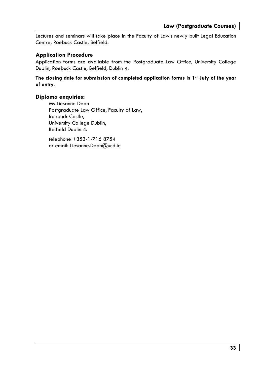Lectures and seminars will take place in the Faculty of Law's newly built Legal Education Centre, Roebuck Castle, Belfield.

#### **Application Procedure**

Application forms are available from the Postgraduate Law Office, University College Dublin, Roebuck Castle, Belfield, Dublin 4.

**The closing date for submission of completed application forms is 1st July of the year of entry**.

#### **Diploma enquiries:**

Ms Liesanne Dean Postgraduate Law Office, Faculty of Law, Roebuck Castle, University College Dublin, Belfield Dublin 4.

telephone +353-1-716 8754 or email: Liesanne.Dean@ucd.ie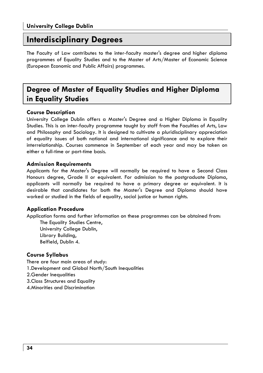# **Interdisciplinary Degrees**

The Faculty of Law contributes to the inter-faculty master's degree and higher diploma programmes of Equality Studies and to the Master of Arts/Master of Economic Science (European Economic and Public Affairs) programmes.

# **Degree of Master of Equality Studies and Higher Diploma in Equality Studies**

### **Course Description**

University College Dublin offers a Master's Degree and a Higher Diploma in Equality Studies. This is an inter-faculty programme taught by staff from the Faculties of Arts, Law and Philosophy and Sociology. It is designed to cultivate a pluridisciplinary appreciation of equality issues of both national and international significance and to explore their interrelationship. Courses commence in September of each year and may be taken on either a full-time or part-time basis.

#### **Admission Requirements**

Applicants for the Master's Degree will normally be required to have a Second Class Honours degree, Grade II or equivalent. For admission to the postgraduate Diploma, applicants will normally be required to have a primary degree or equivalent. It is desirable that candidates for both the Master's Degree and Diploma should have worked or studied in the fields of equality, social justice or human rights.

#### **Application Procedure**

Application forms and further information on these programmes can be obtained from:

The Equality Studies Centre, University College Dublin, Library Building, Belfield, Dublin 4.

#### **Course Syllabus**

There are four main areas of study: 1. Development and Global North/South Inequalities 2. Gender Inequalities 3. Class Structures and Equality 4. Minorities and Discrimination